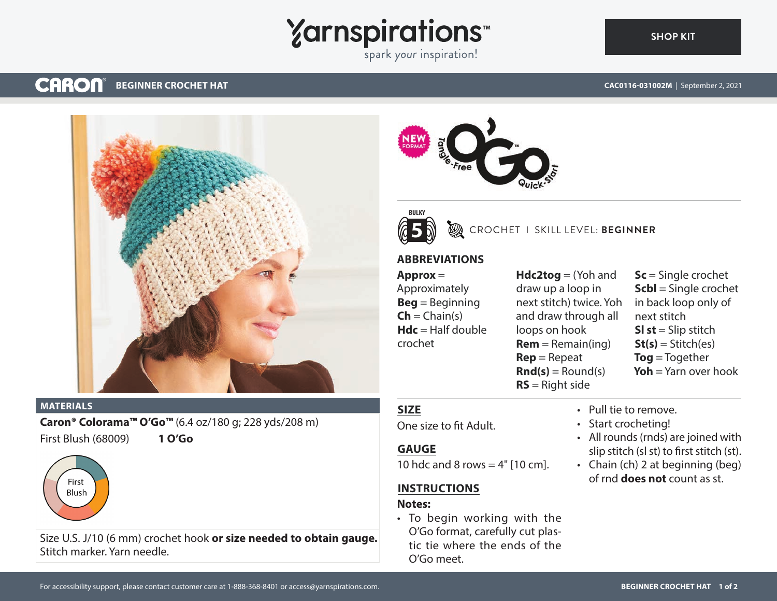# **Yarnspirations**

spark your inspiration!

#### **CARON® BEGINNER CROCHET HAT**

**[SHOP KIT](https://www.yarnspirations.com/CAC0116-031002M.html#utm_source=pdf-yarnspirations&utm_medium=referral)**



#### **MATERIALS**

**Caron® Colorama™ O'Go™** (6.4 oz/180 g; 228 yds/208 m) First Blush (68009) **1 O'Go**



Size U.S. J/10 (6 mm) crochet hook **or size needed to obtain gauge.** Stitch marker. Yarn needle.





## CROCHET I SKILL LEVEL: **BEGINNER**

## **ABBREVIATIONS**

## **Approx** =

Approximately **Beg** = Beginning  $\mathsf{Ch} = \mathsf{Chain}(s)$ **Hdc** = Half double crochet

**Hdc2tog** = (Yoh and draw up a loop in next stitch) twice. Yoh and draw through all loops on hook  $Rem = Remain(ing)$ **Rep** = Repeat  $\text{Rnd}(s) =$  Round(s) **RS** = Right side

**Sc** = Single crochet **Scbl** = Single crochet in back loop only of next stitch **SI st** = Slip stitch  $St(s) = Stitch(es)$ **Tog** = Together **Yoh** = Yarn over hook

## **SIZE**

One size to fit Adult.

### **GAUGE**

10 hdc and 8 rows  $=$  4" [10 cm].

## **INSTRUCTIONS**

### **Notes:**

• To begin working with the O'Go format, carefully cut plastic tie where the ends of the O'Go meet.

- Pull tie to remove.
- Start crocheting!
- All rounds (rnds) are joined with slip stitch (sl st) to first stitch (st).
- Chain (ch) 2 at beginning (beg) of rnd **does not** count as st.